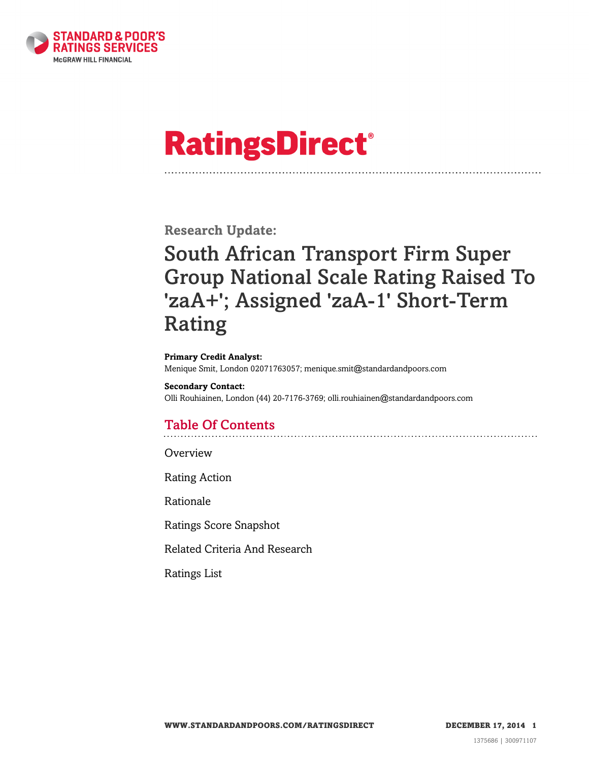

# **RatingsDirect®**

**Research Update:**

# South African Transport Firm Super Group National Scale Rating Raised To 'zaA+'; Assigned 'zaA-1' Short-Term Rating

**Primary Credit Analyst:**

Menique Smit, London 02071763057; menique.smit@standardandpoors.com

**Secondary Contact:** Olli Rouhiainen, London (44) 20-7176-3769; olli.rouhiainen@standardandpoors.com

# Table Of Contents

[Overview](#page-1-0)

[Rating Action](#page-1-1)

[Rationale](#page-1-2)

[Ratings Score Snapshot](#page-4-0)

[Related Criteria And Research](#page-4-1)

[Ratings List](#page-4-2)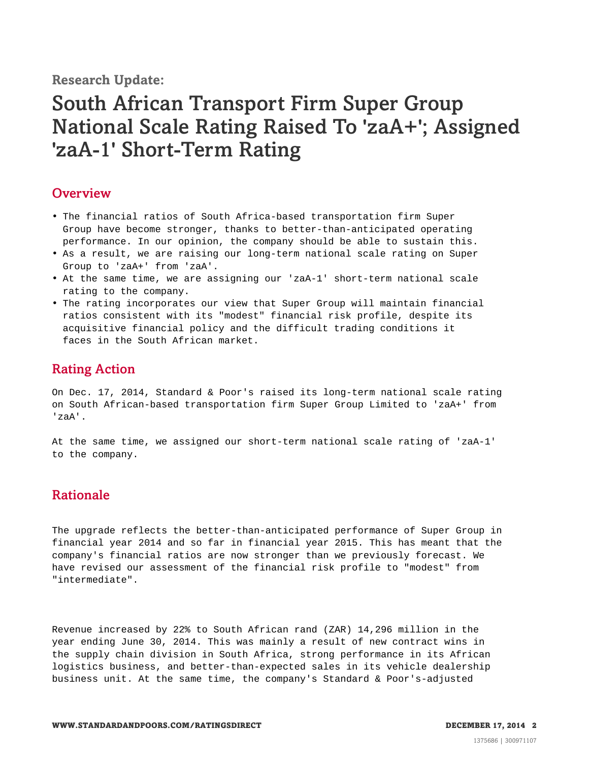**Research Update:**

# South African Transport Firm Super Group National Scale Rating Raised To 'zaA+'; Assigned 'zaA-1' Short-Term Rating

### <span id="page-1-0"></span>**Overview**

- The financial ratios of South Africa-based transportation firm Super Group have become stronger, thanks to better-than-anticipated operating performance. In our opinion, the company should be able to sustain this.
- As a result, we are raising our long-term national scale rating on Super Group to 'zaA+' from 'zaA'.
- At the same time, we are assigning our 'zaA-1' short-term national scale rating to the company.
- The rating incorporates our view that Super Group will maintain financial ratios consistent with its "modest" financial risk profile, despite its acquisitive financial policy and the difficult trading conditions it faces in the South African market.

# <span id="page-1-1"></span>Rating Action

On Dec. 17, 2014, Standard & Poor's raised its long-term national scale rating on South African-based transportation firm Super Group Limited to 'zaA+' from 'zaA'.

At the same time, we assigned our short-term national scale rating of 'zaA-1' to the company.

### <span id="page-1-2"></span>Rationale

The upgrade reflects the better-than-anticipated performance of Super Group in financial year 2014 and so far in financial year 2015. This has meant that the company's financial ratios are now stronger than we previously forecast. We have revised our assessment of the financial risk profile to "modest" from "intermediate".

Revenue increased by 22% to South African rand (ZAR) 14,296 million in the year ending June 30, 2014. This was mainly a result of new contract wins in the supply chain division in South Africa, strong performance in its African logistics business, and better-than-expected sales in its vehicle dealership business unit. At the same time, the company's Standard & Poor's-adjusted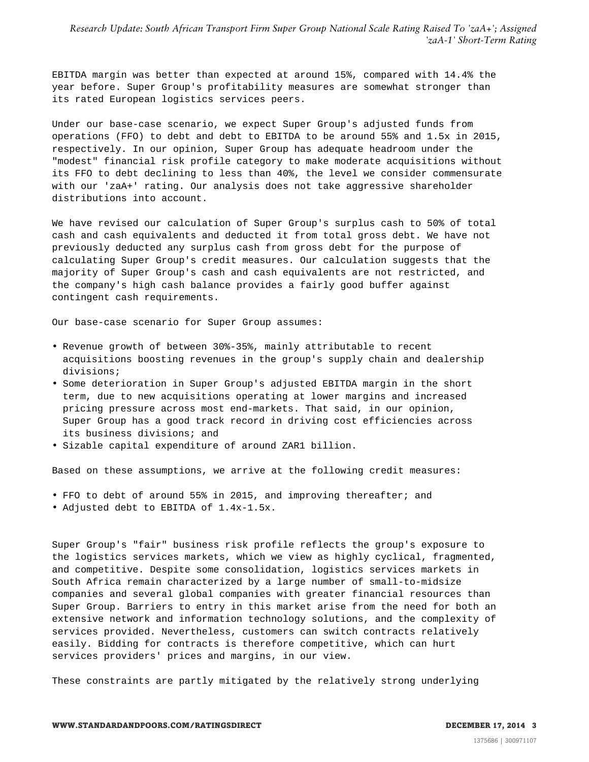*Research Update: South African Transport Firm Super Group National Scale Rating Raised To 'zaA+'; Assigned 'zaA-1' Short-Term Rating*

EBITDA margin was better than expected at around 15%, compared with 14.4% the year before. Super Group's profitability measures are somewhat stronger than its rated European logistics services peers.

Under our base-case scenario, we expect Super Group's adjusted funds from operations (FFO) to debt and debt to EBITDA to be around 55% and 1.5x in 2015, respectively. In our opinion, Super Group has adequate headroom under the "modest" financial risk profile category to make moderate acquisitions without its FFO to debt declining to less than 40%, the level we consider commensurate with our 'zaA+' rating. Our analysis does not take aggressive shareholder distributions into account.

We have revised our calculation of Super Group's surplus cash to 50% of total cash and cash equivalents and deducted it from total gross debt. We have not previously deducted any surplus cash from gross debt for the purpose of calculating Super Group's credit measures. Our calculation suggests that the majority of Super Group's cash and cash equivalents are not restricted, and the company's high cash balance provides a fairly good buffer against contingent cash requirements.

Our base-case scenario for Super Group assumes:

- Revenue growth of between 30%-35%, mainly attributable to recent acquisitions boosting revenues in the group's supply chain and dealership divisions;
- Some deterioration in Super Group's adjusted EBITDA margin in the short term, due to new acquisitions operating at lower margins and increased pricing pressure across most end-markets. That said, in our opinion, Super Group has a good track record in driving cost efficiencies across its business divisions; and
- Sizable capital expenditure of around ZAR1 billion.

Based on these assumptions, we arrive at the following credit measures:

- FFO to debt of around 55% in 2015, and improving thereafter; and
- Adjusted debt to EBITDA of 1.4x-1.5x.

Super Group's "fair" business risk profile reflects the group's exposure to the logistics services markets, which we view as highly cyclical, fragmented, and competitive. Despite some consolidation, logistics services markets in South Africa remain characterized by a large number of small-to-midsize companies and several global companies with greater financial resources than Super Group. Barriers to entry in this market arise from the need for both an extensive network and information technology solutions, and the complexity of services provided. Nevertheless, customers can switch contracts relatively easily. Bidding for contracts is therefore competitive, which can hurt services providers' prices and margins, in our view.

These constraints are partly mitigated by the relatively strong underlying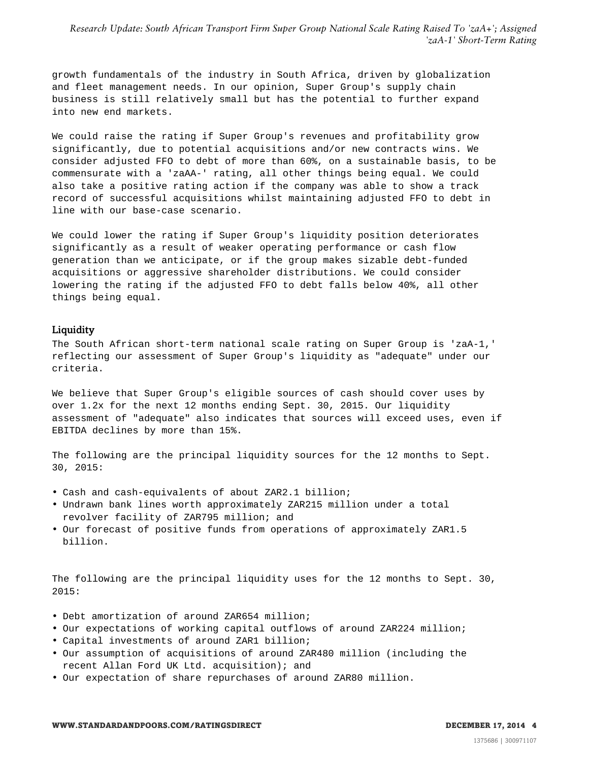growth fundamentals of the industry in South Africa, driven by globalization and fleet management needs. In our opinion, Super Group's supply chain business is still relatively small but has the potential to further expand into new end markets.

We could raise the rating if Super Group's revenues and profitability grow significantly, due to potential acquisitions and/or new contracts wins. We consider adjusted FFO to debt of more than 60%, on a sustainable basis, to be commensurate with a 'zaAA-' rating, all other things being equal. We could also take a positive rating action if the company was able to show a track record of successful acquisitions whilst maintaining adjusted FFO to debt in line with our base-case scenario.

We could lower the rating if Super Group's liquidity position deteriorates significantly as a result of weaker operating performance or cash flow generation than we anticipate, or if the group makes sizable debt-funded acquisitions or aggressive shareholder distributions. We could consider lowering the rating if the adjusted FFO to debt falls below 40%, all other things being equal.

#### Liquidity

The South African short-term national scale rating on Super Group is 'zaA-1,' reflecting our assessment of Super Group's liquidity as "adequate" under our criteria.

We believe that Super Group's eligible sources of cash should cover uses by over 1.2x for the next 12 months ending Sept. 30, 2015. Our liquidity assessment of "adequate" also indicates that sources will exceed uses, even if EBITDA declines by more than 15%.

The following are the principal liquidity sources for the 12 months to Sept. 30, 2015:

- Cash and cash-equivalents of about ZAR2.1 billion;
- Undrawn bank lines worth approximately ZAR215 million under a total revolver facility of ZAR795 million; and
- Our forecast of positive funds from operations of approximately ZAR1.5 billion.

The following are the principal liquidity uses for the 12 months to Sept. 30, 2015:

- Debt amortization of around ZAR654 million;
- Our expectations of working capital outflows of around ZAR224 million;
- Capital investments of around ZAR1 billion;
- Our assumption of acquisitions of around ZAR480 million (including the recent Allan Ford UK Ltd. acquisition); and
- Our expectation of share repurchases of around ZAR80 million.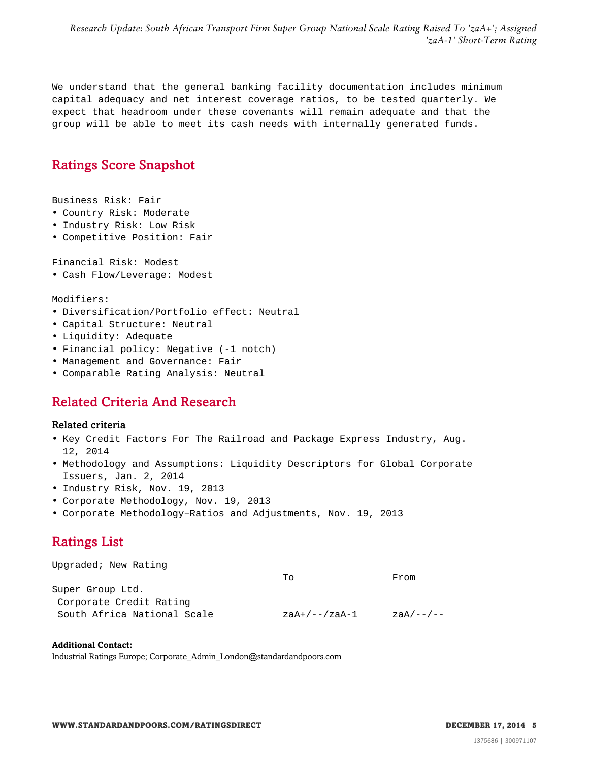*Research Update: South African Transport Firm Super Group National Scale Rating Raised To 'zaA+'; Assigned 'zaA-1' Short-Term Rating*

We understand that the general banking facility documentation includes minimum capital adequacy and net interest coverage ratios, to be tested quarterly. We expect that headroom under these covenants will remain adequate and that the group will be able to meet its cash needs with internally generated funds.

## <span id="page-4-0"></span>Ratings Score Snapshot

Business Risk: Fair

- Country Risk: Moderate
- Industry Risk: Low Risk
- Competitive Position: Fair

Financial Risk: Modest

• Cash Flow/Leverage: Modest

Modifiers:

- Diversification/Portfolio effect: Neutral
- Capital Structure: Neutral
- Liquidity: Adequate
- Financial policy: Negative (-1 notch)
- Management and Governance: Fair
- <span id="page-4-1"></span>• Comparable Rating Analysis: Neutral

### Related Criteria And Research

#### Related criteria

- Key Credit Factors For The Railroad and Package Express Industry, Aug. 12, 2014
- Methodology and Assumptions: Liquidity Descriptors for Global Corporate Issuers, Jan. 2, 2014
- Industry Risk, Nov. 19, 2013
- Corporate Methodology, Nov. 19, 2013
- <span id="page-4-2"></span>• Corporate Methodology–Ratios and Adjustments, Nov. 19, 2013

# Ratings List

| Upgraded; New Rating        |               |                |
|-----------------------------|---------------|----------------|
|                             | TΟ            | From           |
| Super Group Ltd.            |               |                |
| Corporate Credit Rating     |               |                |
| South Africa National Scale | zaA+/--/zaA-1 | $zaaA/---$ /-- |

#### **Additional Contact:**

Industrial Ratings Europe; Corporate\_Admin\_London@standardandpoors.com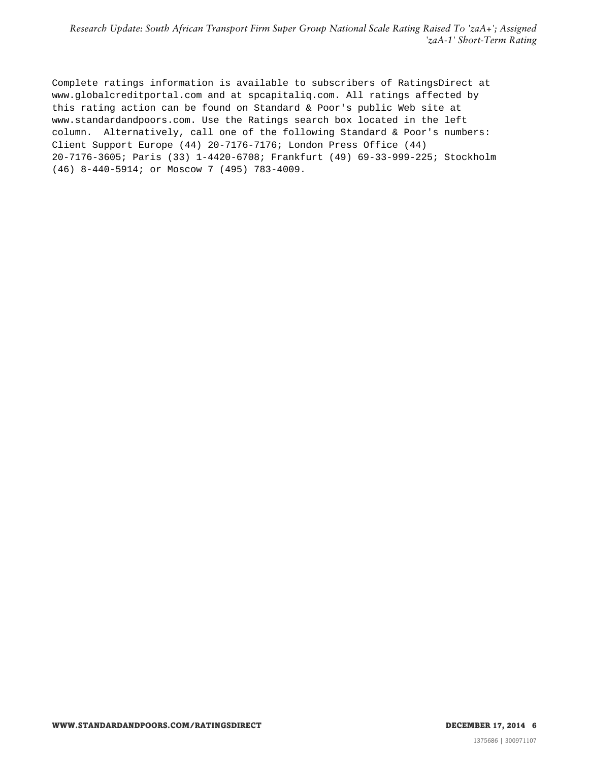*Research Update: South African Transport Firm Super Group National Scale Rating Raised To 'zaA+'; Assigned 'zaA-1' Short-Term Rating*

Complete ratings information is available to subscribers of RatingsDirect at www.globalcreditportal.com and at spcapitaliq.com. All ratings affected by this rating action can be found on Standard & Poor's public Web site at www.standardandpoors.com. Use the Ratings search box located in the left column. Alternatively, call one of the following Standard & Poor's numbers: Client Support Europe (44) 20-7176-7176; London Press Office (44) 20-7176-3605; Paris (33) 1-4420-6708; Frankfurt (49) 69-33-999-225; Stockholm (46) 8-440-5914; or Moscow 7 (495) 783-4009.